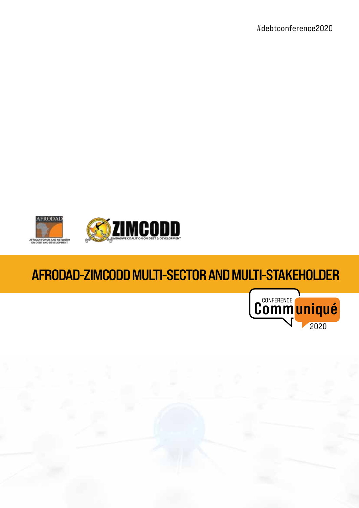#debtconference2020



## **AFRODAD-ZIMCODD MULTI-SECTOR AND MULTI-STAKEHOLDER**



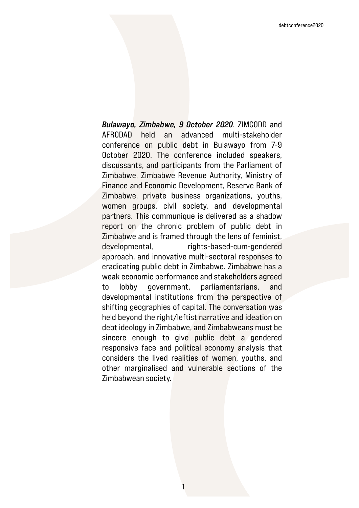*Bulawayo, Zimbabwe, 9 October 2020*. ZIMCODD and AFRODAD held an advanced multi-stakeholder conference on public debt in Bulawayo from 7-9 October 2020. The conference included speakers, discussants, and participants from the Parliament of Zimbabwe, Zimbabwe Revenue Authority, Ministry of Finance and Economic Development, Reserve Bank of Zimbabwe, private business organizations, youths, women groups, civil society, and developmental partners. This communique is delivered as a shadow report on the chronic problem of public debt in Zimbabwe and is framed through the lens of feminist, developmental, rights-based-cum-gendered approach, and innovative multi-sectoral responses to eradicating public debt in Zimbabwe. Zimbabwe has a weak economic performance and stakeholders agreed to lobby government, parliamentarians, and developmental institutions from the perspective of shifting geographies of capital. The conversation was held beyond the right/leftist narrative and ideation on debt ideology in Zimbabwe, and Zimbabweans must be sincere enough to give public debt a gendered responsive face and political economy analysis that considers the lived realities of women, youths, and other marginalised and vulnerable sections of the Zimbabwean society.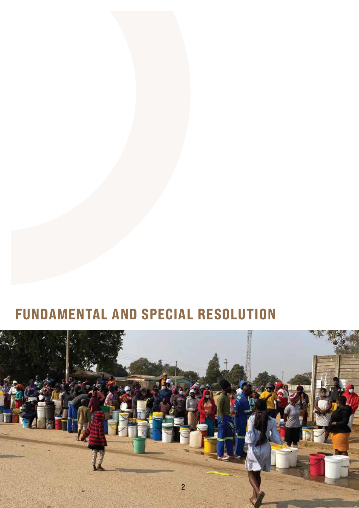## **FUNDAMENTAL AND SPECIAL RESOLUTION**

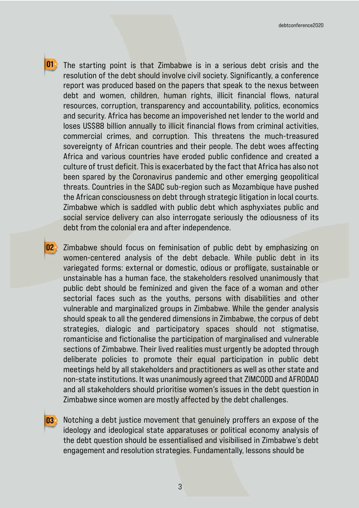**01**

The starting point is that Zimbabwe is in a serious debt crisis and the resolution of the debt should involve civil society. Significantly, a conference report was produced based on the papers that speak to the nexus between debt and women, children, human rights, illicit financial flows, natural resources, corruption, transparency and accountability, politics, economics and security. Africa has become an impoverished net lender to the world and loses US\$88 billion annually to illicit financial flows from criminal activities, commercial crimes, and corruption. This threatens the much-treasured sovereignty of African countries and their people. The debt woes affecting Africa and various countries have eroded public confidence and created a culture of trust deficit. This is exacerbated by the fact that Africa has also not been spared by the Coronavirus pandemic and other emerging geopolitical threats. Countries in the SADC sub-region such as Mozambique have pushed the African consciousness on debt through strategic litigation in local courts. Zimbabwe which is saddled with public debt which asphyxiates public and social service delivery can also interrogate seriously the odiousness of its debt from the colonial era and after independence.

**02** Zimbabwe should focus on feminisation of public debt by emphasizing on women-centered analysis of the debt debacle. While public debt in its variegated forms: external or domestic, odious or profligate, sustainable or unstainable has a human face, the stakeholders resolved unanimously that public debt should be feminized and given the face of a woman and other sectorial faces such as the youths, persons with disabilities and other vulnerable and marginalized groups in Zimbabwe. While the gender analysis should speak to all the gendered dimensions in Zimbabwe, the corpus of debt strategies, dialogic and participatory spaces should not stigmatise, romanticise and fictionalise the participation of marginalised and vulnerable sections of Zimbabwe. Their lived realities must urgently be adopted through deliberate policies to promote their equal participation in public debt meetings held by all stakeholders and practitioners as well as other state and non-state institutions. It was unanimously agreed that ZIMCODD and AFRODAD and all stakeholders should prioritise women's issues in the debt question in Zimbabwe since women are mostly affected by the debt challenges.

**03** Notching a debt justice movement that genuinely proffers an expose of the ideology and ideological state apparatuses or political economy analysis of the debt question should be essentialised and visibilised in Zimbabwe's debt engagement and resolution strategies. Fundamentally, lessons should be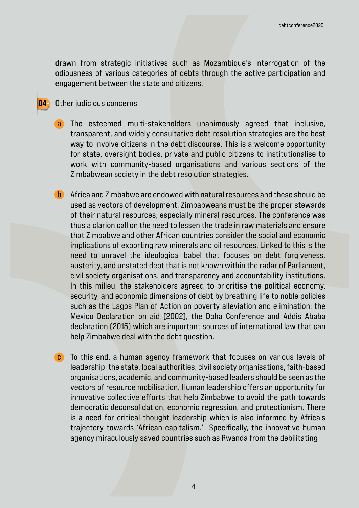drawn from strategic initiatives such as Mozambique's interrogation of the odiousness of various categories of debts through the active participation and engagement between the state and citizens.

## **04** Other judicious concerns

- a The esteemed multi-stakeholders unanimously agreed that inclusive, transparent, and widely consultative debt resolution strategies are the best way to involve citizens in the debt discourse. This is a welcome opportunity for state, oversight bodies, private and public citizens to institutionalise to work with community-based organisations and various sections of the Zimbabwean society in the debt resolution strategies.
- b Africa and Zimbabwe are endowed with natural resources and these should be used as vectors of development. Zimbabweans must be the proper stewards of their natural resources, especially mineral resources. The conference was thus a clarion call on the need to lessen the trade in raw materials and ensure that Zimbabwe and other African countries consider the social and economic implications of exporting raw minerals and oil resources. Linked to this is the need to unravel the ideological babel that focuses on debt forgiveness, austerity, and unstated debt that is not known within the radar of Parliament, civil society organisations, and transparency and accountability institutions. In this milieu, the stakeholders agreed to prioritise the political economy, security, and economic dimensions of debt by breathing life to noble policies such as the Lagos Plan of Action on poverty alleviation and elimination; the Mexico Declaration on aid (2002), the Doha Conference and Addis Ababa declaration (2015) which are important sources of international law that can help Zimbabwe deal with the debt question.
- **c** To this end, a human agency framework that focuses on various levels of leadership: the state, local authorities, civil society organisations, faith-based organisations, academic, and community-based leaders should be seen as the vectors of resource mobilisation. Human leadership offers an opportunity for innovative collective efforts that help Zimbabwe to avoid the path towards democratic deconsolidation, economic regression, and protectionism. There is a need for critical thought leadership which is also informed by Africa's trajectory towards 'African capitalism.' Specifically, the innovative human agency miraculously saved countries such as Rwanda from the debilitating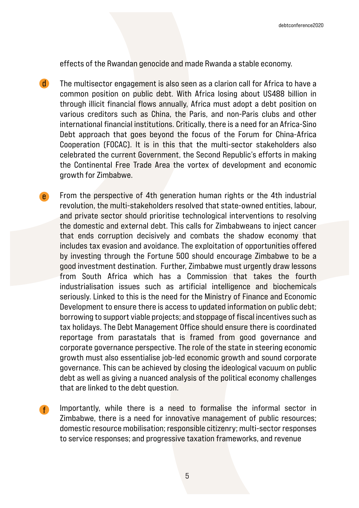effects of the Rwandan genocide and made Rwanda a stable economy.

The multisector engagement is also seen as a clarion call for Africa to have a common position on public debt. With Africa losing about US488 billion in through illicit financial flows annually, Africa must adopt a debt position on various creditors such as China, the Paris, and non-Paris clubs and other international financial institutions. Critically, there is a need for an Africa-Sino Debt approach that goes beyond the focus of the Forum for China-Africa Cooperation (FOCAC). It is in this that the multi-sector stakeholders also celebrated the current Government, the Second Republic's efforts in making the Continental Free Trade Area the vortex of development and economic growth for Zimbabwe. d

From the perspective of 4th generation human rights or the 4th industrial revolution, the multi-stakeholders resolved that state-owned entities, labour, and private sector should prioritise technological interventions to resolving the domestic and external debt. This calls for Zimbabweans to inject cancer that ends corruption decisively and combats the shadow economy that includes tax evasion and avoidance. The exploitation of opportunities offered by investing through the Fortune 500 should encourage Zimbabwe to be a good investment destination. Further, Zimbabwe must urgently draw lessons from South Africa which has a Commission that takes the fourth industrialisation issues such as artificial intelligence and biochemicals seriously. Linked to this is the need for the Ministry of Finance and Economic Development to ensure there is access to updated information on public debt; borrowing to support viable projects; and stoppage of fiscal incentives such as tax holidays. The Debt Management Office should ensure there is coordinated reportage from parastatals that is framed from good governance and corporate governance perspective. The role of the state in steering economic growth must also essentialise job-led economic growth and sound corporate governance. This can be achieved by closing the ideological vacuum on public debt as well as giving a nuanced analysis of the political economy challenges that are linked to the debt question. e

Importantly, while there is a need to formalise the informal sector in Zimbabwe, there is a need for innovative management of public resources; domestic resource mobilisation; responsible citizenry; multi-sector responses to service responses; and progressive taxation frameworks, and revenue f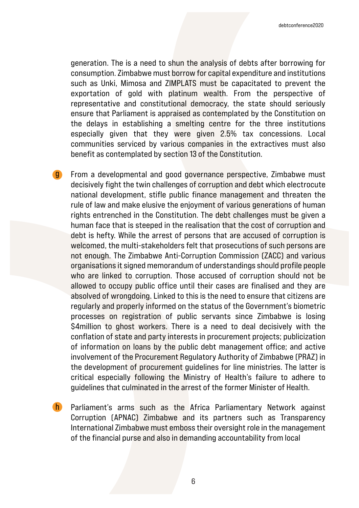generation. The is a need to shun the analysis of debts after borrowing for consumption. Zimbabwe must borrow for capital expenditure and institutions such as Unki, Mimosa and ZIMPLATS must be capacitated to prevent the exportation of gold with platinum wealth. From the perspective of representative and constitutional democracy, the state should seriously ensure that Parliament is appraised as contemplated by the Constitution on the delays in establishing a smelting centre for the three institutions especially given that they were given 2.5% tax concessions. Local communities serviced by various companies in the extractives must also benefit as contemplated by section 13 of the Constitution.

From a developmental and good governance perspective, Zimbabwe must decisively fight the twin challenges of corruption and debt which electrocute national development, stifle public finance management and threaten the rule of law and make elusive the enjoyment of various generations of human rights entrenched in the Constitution. The debt challenges must be given a human face that is steeped in the realisation that the cost of corruption and debt is hefty. While the arrest of persons that are accused of corruption is welcomed, the multi-stakeholders felt that prosecutions of such persons are not enough. The Zimbabwe Anti-Corruption Commission (ZACC) and various organisations it signed memorandum of understandings should profile people who are linked to corruption. Those accused of corruption should not be allowed to occupy public office until their cases are finalised and they are absolved of wrongdoing. Linked to this is the need to ensure that citizens are regularly and properly informed on the status of the Government's biometric processes on registration of public servants since Zimbabwe is losing \$4million to ghost workers. There is a need to deal decisively with the conflation of state and party interests in procurement projects; publicization of information on loans by the public debt management office; and active involvement of the Procurement Regulatory Authority of Zimbabwe (PRAZ) in the development of procurement guidelines for line ministries. The latter is critical especially following the Ministry of Health's failure to adhere to guidelines that culminated in the arrest of the former Minister of Health. g

Parliament's arms such as the Africa Parliamentary Network against Corruption (APNAC) Zimbabwe and its partners such as Transparency International Zimbabwe must emboss their oversight role in the management of the financial purse and also in demanding accountability from local h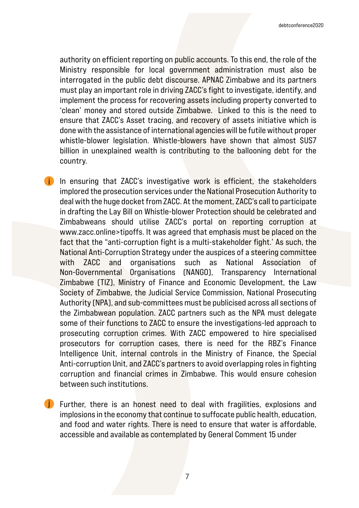authority on efficient reporting on public accounts. To this end, the role of the Ministry responsible for local government administration must also be interrogated in the public debt discourse. APNAC Zimbabwe and its partners must play an important role in driving ZACC's fight to investigate, identify, and implement the process for recovering assets including property converted to 'clean' money and stored outside Zimbabwe. Linked to this is the need to ensure that ZACC's Asset tracing, and recovery of assets initiative which is done with the assistance of international agencies will be futile without proper whistle-blower legislation. Whistle-blowers have shown that almost \$US7 billion in unexplained wealth is contributing to the ballooning debt for the country.

In ensuring that ZACC's investigative work is efficient, the stakeholders implored the prosecution services under the National Prosecution Authority to deal with the huge docket from ZACC. At the moment, ZACC's call to participate in drafting the Lay Bill on Whistle-blower Protection should be celebrated and Zimbabweans should utilise ZACC's portal on reporting corruption at www.zacc.online>tipoffs. It was agreed that emphasis must be placed on the fact that the "anti-corruption fight is a multi-stakeholder fight.' As such, the National Anti-Corruption Strategy under the auspices of a steering committee with ZACC and organisations such as National Association of Non-Governmental Organisations (NANGO), Transparency International Zimbabwe (TIZ), Ministry of Finance and Economic Development, the Law Society of Zimbabwe, the Judicial Service Commission, National Prosecuting Authority (NPA), and sub-committees must be publicised across all sections of the Zimbabwean population. ZACC partners such as the NPA must delegate some of their functions to ZACC to ensure the investigations-led approach to prosecuting corruption crimes. With ZACC empowered to hire specialised prosecutors for corruption cases, there is need for the RBZ's Finance Intelligence Unit, internal controls in the Ministry of Finance, the Special Anti-corruption Unit, and ZACC's partners to avoid overlapping roles in fighting corruption and financial crimes in Zimbabwe. This would ensure cohesion between such institutions. i

j Further, there is an honest need to deal with fragilities, explosions and  $\blacksquare$ implosions in the economy that continue to suffocate public health, education, and food and water rights. There is need to ensure that water is affordable, accessible and available as contemplated by General Comment 15 under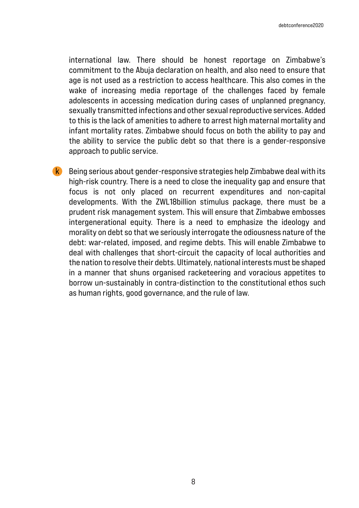international law. There should be honest reportage on Zimbabwe's commitment to the Abuja declaration on health, and also need to ensure that age is not used as a restriction to access healthcare. This also comes in the wake of increasing media reportage of the challenges faced by female adolescents in accessing medication during cases of unplanned pregnancy, sexually transmitted infections and other sexual reproductive services. Added to this is the lack of amenities to adhere to arrest high maternal mortality and infant mortality rates. Zimbabwe should focus on both the ability to pay and the ability to service the public debt so that there is a gender-responsive approach to public service.

Being serious about gender-responsive strategies help Zimbabwe deal with its high-risk country. There is a need to close the inequality gap and ensure that focus is not only placed on recurrent expenditures and non-capital developments. With the ZWL18billion stimulus package, there must be a prudent risk management system. This will ensure that Zimbabwe embosses intergenerational equity. There is a need to emphasize the ideology and morality on debt so that we seriously interrogate the odiousness nature of the debt: war-related, imposed, and regime debts. This will enable Zimbabwe to deal with challenges that short-circuit the capacity of local authorities and the nation to resolve their debts. Ultimately, national interests must be shaped in a manner that shuns organised racketeering and voracious appetites to borrow un-sustainably in contra-distinction to the constitutional ethos such as human rights, good governance, and the rule of law. k